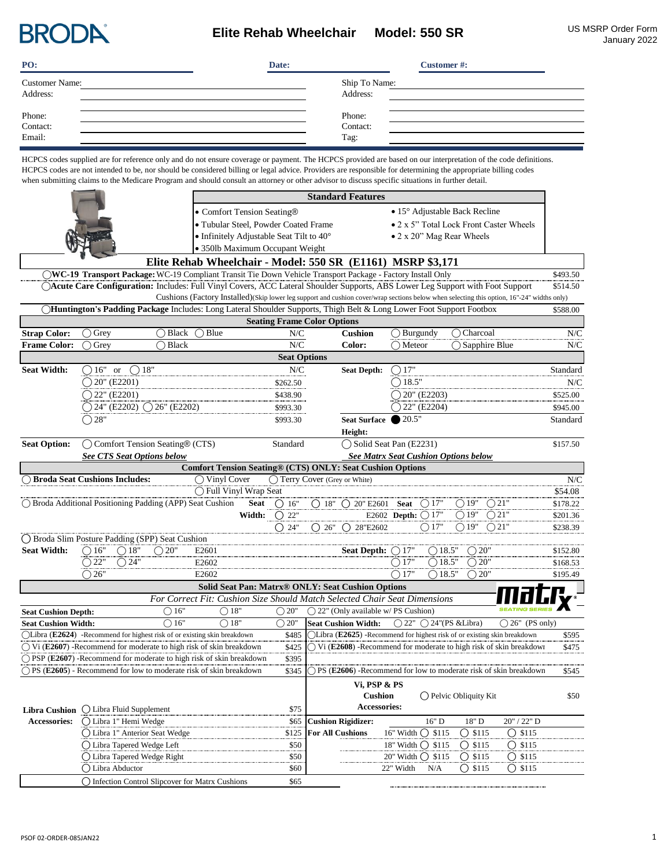

## **Elite Rehab Wheelchair Model: 550 SR** US MSRP Order Form

| PO:                   | Date: |               | <b>Customer#:</b> |
|-----------------------|-------|---------------|-------------------|
| <b>Customer Name:</b> |       | Ship To Name: |                   |
| Address:              |       | Address:      |                   |
|                       |       | Phone:        |                   |
| Phone:<br>Contact:    |       | Contact:      |                   |
| Email:                |       | Tag:          |                   |

HCPCS codes supplied are for reference only and do not ensure coverage or payment. The HCPCS provided are based on our interpretation of the code definitions. HCPCS codes are not intended to be, nor should be considered billing or legal advice. Providers are responsible for determining the appropriate billing codes when submitting claims to the Medicare Program and should consult an attorney or other advisor to discuss specific situations in further detail.

|                                          |                                   |                                                                           | <b>Standard Features</b>                                                     |                       |                                                                                                                                            |                                         |                                         |                                             |                          |          |
|------------------------------------------|-----------------------------------|---------------------------------------------------------------------------|------------------------------------------------------------------------------|-----------------------|--------------------------------------------------------------------------------------------------------------------------------------------|-----------------------------------------|-----------------------------------------|---------------------------------------------|--------------------------|----------|
|                                          |                                   |                                                                           | • Comfort Tension Seating®                                                   |                       |                                                                                                                                            |                                         | $\bullet$ 15° Adjustable Back Recline   |                                             |                          |          |
|                                          |                                   | · Tubular Steel, Powder Coated Frame                                      |                                                                              |                       |                                                                                                                                            | • 2 x 5" Total Lock Front Caster Wheels |                                         |                                             |                          |          |
| • Infinitely Adjustable Seat Tilt to 40° |                                   |                                                                           |                                                                              |                       |                                                                                                                                            |                                         |                                         | • 2 x 20" Mag Rear Wheels                   |                          |          |
|                                          |                                   |                                                                           | · 350lb Maximum Occupant Weight                                              |                       |                                                                                                                                            |                                         |                                         |                                             |                          |          |
|                                          |                                   |                                                                           |                                                                              |                       | Elite Rehab Wheelchair - Model: 550 SR (E1161) MSRP \$3,171                                                                                |                                         |                                         |                                             |                          |          |
|                                          |                                   |                                                                           |                                                                              |                       | ◯WC-19 Transport Package: WC-19 Compliant Transit Tie Down Vehicle Transport Package - Factory Install Only                                |                                         |                                         |                                             |                          | \$493.50 |
|                                          |                                   |                                                                           |                                                                              |                       | ○Acute Care Configuration: Includes: Full Vinyl Covers, ACC Lateral Shoulder Supports, ABS Lower Leg Support with Foot Support             |                                         |                                         |                                             |                          | \$514.50 |
|                                          |                                   |                                                                           |                                                                              |                       | Cushions (Factory Installed)(Skip lower leg support and cushion cover/wrap sections below when selecting this option, 16"-24" widths only) |                                         |                                         |                                             |                          |          |
|                                          |                                   |                                                                           |                                                                              |                       | ◯Huntington's Padding Package Includes: Long Lateral Shoulder Supports, Thigh Belt & Long Lower Foot Support Footbox                       |                                         |                                         |                                             |                          | \$588.00 |
|                                          |                                   |                                                                           |                                                                              |                       | <b>Seating Frame Color Options</b>                                                                                                         |                                         |                                         |                                             |                          |          |
| <b>Strap Color:</b>                      | $\bigcirc$ Grey                   | $\bigcap$ Black                                                           | $\bigcirc$ Blue                                                              | N/C                   | <b>Cushion</b>                                                                                                                             |                                         | $\bigcirc$ Burgundy                     | ◯ Charcoal                                  |                          | N/C      |
| <b>Frame Color:</b>                      | Grey                              | ◯ Black                                                                   |                                                                              | N/C                   | Color:                                                                                                                                     | $\bigcirc$ Meteor                       |                                         | $\bigcap$ Sapphire Blue                     |                          | N/C      |
|                                          |                                   |                                                                           |                                                                              | <b>Seat Options</b>   |                                                                                                                                            |                                         |                                         |                                             |                          |          |
| <b>Seat Width:</b>                       | $( )16"$ or                       | $\bigcirc$ 18"                                                            |                                                                              | N/C                   | <b>Seat Depth:</b>                                                                                                                         | 17"                                     |                                         |                                             |                          | Standard |
|                                          | $\bigcirc$ 20" (E2201)            |                                                                           |                                                                              | \$262.50              |                                                                                                                                            | 18.5"                                   |                                         |                                             |                          | N/C      |
|                                          | $\bigcirc$ 22" (E2201)            |                                                                           |                                                                              | \$438.90              |                                                                                                                                            |                                         | 20" (E2203)                             |                                             |                          | \$525.00 |
|                                          |                                   | $Q$ 24" (E2202) $Q$ 26" (E2202)                                           |                                                                              | \$993.30              |                                                                                                                                            |                                         | $22"$ (E2204)                           |                                             |                          | \$945.00 |
|                                          | $\bigcirc$ 28"                    |                                                                           |                                                                              | \$993.30              | <b>Seat Surface</b>                                                                                                                        | 20.5"                                   |                                         |                                             |                          | Standard |
|                                          |                                   |                                                                           |                                                                              |                       | Height:                                                                                                                                    |                                         |                                         |                                             |                          |          |
| <b>Seat Option:</b>                      |                                   | ◯ Comfort Tension Seating® (CTS)                                          |                                                                              | Standard              | ◯ Solid Seat Pan (E2231)                                                                                                                   |                                         |                                         |                                             |                          | \$157.50 |
|                                          | <b>See CTS Seat Options below</b> |                                                                           |                                                                              |                       |                                                                                                                                            |                                         |                                         | <b>See Matrx Seat Cushion Options below</b> |                          |          |
|                                          |                                   |                                                                           |                                                                              |                       | <b>Comfort Tension Seating® (CTS) ONLY: Seat Cushion Options</b>                                                                           |                                         |                                         |                                             |                          |          |
| ◯ Broda Seat Cushions Includes:          |                                   |                                                                           | $\bigcirc$ Vinyl Cover                                                       |                       | ◯ Terry Cover (Grey or White)                                                                                                              |                                         |                                         |                                             |                          | N/C      |
|                                          |                                   |                                                                           | ◯ Full Vinyl Wrap Seat                                                       |                       |                                                                                                                                            |                                         |                                         |                                             |                          | \$54.08  |
|                                          |                                   | ◯ Broda Additional Positioning Padding (APP) Seat Cushion                 | Seat                                                                         | () 16"                | $( ) 18" ( ) 20" E2601$ Seat                                                                                                               |                                         | ( ) 17'                                 | $\bigcirc$ 19"<br>$\bigcirc$ 21"            |                          | \$178.22 |
|                                          |                                   |                                                                           |                                                                              | Width: $\bigcirc$ 22" |                                                                                                                                            | E2602 Depth: 017"                       |                                         | $\bigcirc$ 19"<br>$\bigcirc$ 21"            |                          | \$201.36 |
|                                          |                                   |                                                                           |                                                                              | $\bigcirc$ 24"        | $\bigcap 26"$ $\bigcap 28"E2602$                                                                                                           |                                         | $\bigcirc$ 17"                          | $\bigcirc$ 19"<br>$\bigcirc$ 21"            |                          | \$238.39 |
|                                          |                                   | ◯ Broda Slim Posture Padding (SPP) Seat Cushion                           |                                                                              |                       |                                                                                                                                            |                                         |                                         |                                             |                          |          |
| <b>Seat Width:</b>                       | $\bigcirc$ 16"<br>$\bigcirc$ 18"  | $\bigcirc$ 20"                                                            | E <sub>2601</sub>                                                            |                       | Seat Depth: $\bigcirc$ 17"                                                                                                                 |                                         | ( ) 18.5"                               | ( ) 20"                                     |                          | \$152.80 |
|                                          | $\bigcirc$ 22"<br>$\bigcirc$ 24"  |                                                                           | E2602                                                                        |                       |                                                                                                                                            | $\bigcirc$ 17"                          | $\bigcirc$ 18.5"                        | $\bigcirc$ 20"                              |                          | \$168.53 |
|                                          | $\bigcirc$ 26"                    |                                                                           | E2602                                                                        |                       |                                                                                                                                            | $\bigcirc$ 17"                          | $\bigcap$ 18.5'                         | $\bigcirc$ 20"                              |                          | \$195.49 |
|                                          |                                   |                                                                           |                                                                              |                       | Solid Seat Pan: Matrx® ONLY: Seat Cushion Options                                                                                          |                                         |                                         |                                             |                          |          |
|                                          |                                   |                                                                           |                                                                              |                       | For Correct Fit: Cushion Size Should Match Selected Chair Seat Dimensions                                                                  |                                         |                                         |                                             |                          |          |
| <b>Seat Cushion Depth:</b>               |                                   | $\bigcirc$ 16"                                                            | $\bigcirc$ 18"                                                               | $\bigcirc$ 20"        | $\bigcap$ 22" (Only available w/PS Cushion)                                                                                                |                                         |                                         |                                             |                          |          |
| <b>Seat Cushion Width:</b>               |                                   | $\bigcirc$ 16"                                                            | $\bigcirc$ 18"                                                               | $\bigcirc$ 20"        | <b>Seat Cushion Width:</b>                                                                                                                 |                                         | $\bigcap$ 22" $\bigcap$ 24"(PS & Libra) |                                             | $\bigcirc$ 26" (PS only) |          |
|                                          |                                   | (CLibra (E2624) -Recommend for highest risk of or existing skin breakdown |                                                                              | \$485                 | Libra $(E2625)$ -Recommend for highest risk of or existing skin breakdown                                                                  |                                         |                                         |                                             |                          | \$595    |
|                                          |                                   |                                                                           | $\bigcap$ Vi (E2607) -Recommend for moderate to high risk of skin breakdown  | \$425                 | $\triangledown$ Vi (E2608) -Recommend for moderate to high risk of skin                                                                    |                                         |                                         |                                             |                          | \$475    |
|                                          |                                   |                                                                           | $\bigcap$ PSP (E2607) -Recommend for moderate to high risk of skin breakdown | \$395                 |                                                                                                                                            |                                         |                                         |                                             |                          |          |
|                                          |                                   |                                                                           | ◯ PS (E2605) - Recommend for low to moderate risk of skin breakdown          | \$345                 | PS (E2606) -Recommend for low to moderate risk of skin breakdown                                                                           |                                         |                                         |                                             |                          | \$545    |
|                                          |                                   |                                                                           |                                                                              |                       | Vi, PSP & PS                                                                                                                               |                                         |                                         |                                             |                          |          |
|                                          |                                   |                                                                           |                                                                              |                       | Cushion                                                                                                                                    |                                         |                                         | $\bigcap$ Pelvic Obliquity Kit              |                          | \$50     |
| <b>Libra Cushion</b>                     | () Libra Fluid Supplement         |                                                                           |                                                                              | \$75                  | Accessories:                                                                                                                               |                                         |                                         |                                             |                          |          |
| <b>Accessories:</b>                      | ○ Libra 1" Hemi Wedge             |                                                                           |                                                                              | \$65                  | <b>Cushion Rigidizer:</b>                                                                                                                  |                                         | 16" D                                   | 18" D                                       | 20" / 22" D              |          |
|                                          |                                   | ○ Libra 1" Anterior Seat Wedge                                            |                                                                              | \$125                 | <b>For All Cushions</b>                                                                                                                    | 16" Width                               | $O$ \$115                               | $O$ \$115                                   | $O$ \$115                |          |
|                                          | ◯ Libra Tapered Wedge Left        |                                                                           |                                                                              | \$50                  |                                                                                                                                            |                                         | 18" Width ◯ \$115                       | $O$ \$115                                   | $O$ \$115                |          |
|                                          | ◯ Libra Tapered Wedge Right       |                                                                           |                                                                              | \$50                  |                                                                                                                                            |                                         | 20" Width ◯ \$115                       | $\bigcirc$ \$115                            | $\bigcirc$ \$115         |          |
|                                          | () Libra Abductor                 |                                                                           |                                                                              | \$60                  |                                                                                                                                            | 22" Width                               | N/A                                     | $\bigcirc$ \$115                            | $\bigcirc$ \$115         |          |
|                                          |                                   | O Infection Control Slipcover for Matrx Cushions                          |                                                                              | \$65                  |                                                                                                                                            |                                         |                                         |                                             |                          |          |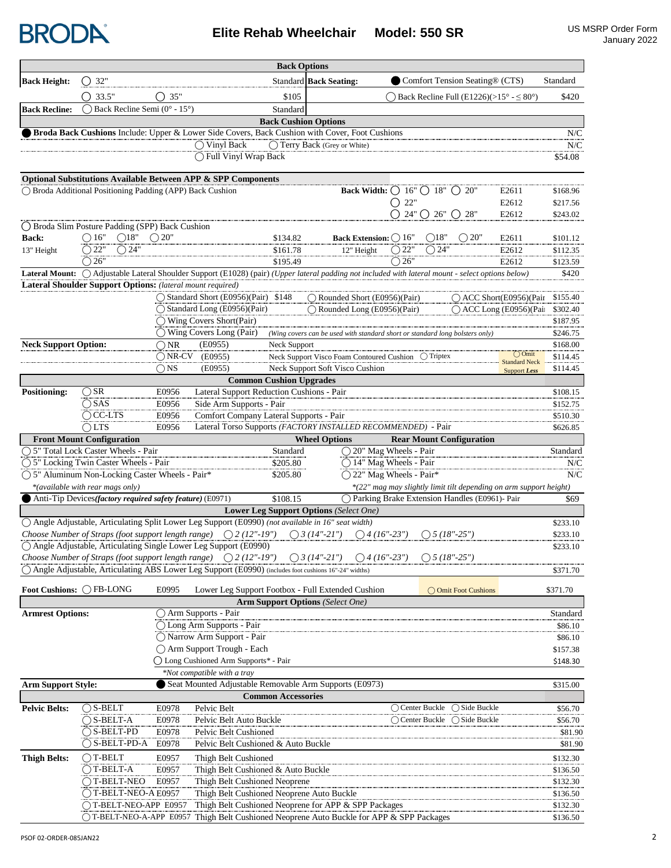

**Elite Rehab Wheelchair Model: 550 SR** US MSRP Order Form

|                             |                                                            |                 |                                                                                                                                                    | <b>Back Options</b>            |                                                                              |                                                          |                                                                |                                                                    |                      |
|-----------------------------|------------------------------------------------------------|-----------------|----------------------------------------------------------------------------------------------------------------------------------------------------|--------------------------------|------------------------------------------------------------------------------|----------------------------------------------------------|----------------------------------------------------------------|--------------------------------------------------------------------|----------------------|
| <b>Back Height:</b>         | $\bigcirc$ 32"                                             |                 |                                                                                                                                                    |                                | <b>Standard Back Seating:</b>                                                |                                                          | Comfort Tension Seating® (CTS)                                 |                                                                    | Standard             |
|                             | $\bigcap$ 33.5"                                            | 35"             |                                                                                                                                                    | \$105                          |                                                                              |                                                          | ) Back Recline Full (E1226)( $>15^{\circ} - \leq 80^{\circ}$ ) |                                                                    | \$420                |
| <b>Back Recline:</b>        | Back Recline Semi (0° - 15°)                               |                 |                                                                                                                                                    | Standard                       |                                                                              |                                                          |                                                                |                                                                    |                      |
|                             |                                                            |                 |                                                                                                                                                    | <b>Back Cushion Options</b>    |                                                                              |                                                          |                                                                |                                                                    |                      |
|                             |                                                            |                 | Broda Back Cushions Include: Upper & Lower Side Covers, Back Cushion with Cover, Foot Cushions                                                     |                                |                                                                              |                                                          |                                                                |                                                                    | N/C                  |
|                             |                                                            |                 | $\bigcirc$ Vinyl Back                                                                                                                              |                                | ◯ Terry Back (Grey or White)                                                 |                                                          |                                                                |                                                                    | N/C                  |
|                             |                                                            |                 | ◯ Full Vinyl Wrap Back                                                                                                                             |                                |                                                                              |                                                          |                                                                |                                                                    | \$54.08              |
|                             |                                                            |                 | <b>Optional Substitutions Available Between APP &amp; SPP Components</b>                                                                           |                                |                                                                              |                                                          |                                                                |                                                                    |                      |
|                             | ◯ Broda Additional Positioning Padding (APP) Back Cushion  |                 |                                                                                                                                                    |                                |                                                                              | Back Width: $\bigcirc$ 16" $\bigcirc$ 18" $\bigcirc$ 20" |                                                                | E2611                                                              | \$168.96             |
|                             |                                                            |                 |                                                                                                                                                    |                                |                                                                              | O 22"                                                    |                                                                | E2612                                                              | \$217.56             |
|                             |                                                            |                 |                                                                                                                                                    |                                |                                                                              | $O$ 24" $O$ 26" $O$ 28"                                  |                                                                | E2612                                                              | \$243.02             |
|                             | ◯ Broda Slim Posture Padding (SPP) Back Cushion            |                 |                                                                                                                                                    |                                |                                                                              |                                                          |                                                                |                                                                    |                      |
| Back:                       | $\bigcirc$ 16"<br>$\bigcirc$ 18"                           | $\bigcirc$ 20"  |                                                                                                                                                    | \$134.82                       | Back Extension: () 16"                                                       | ◯18"                                                     | $\bigcirc$ 20"                                                 | E2611                                                              | \$101.12             |
| 13" Height                  | $\bigcirc$ 22"<br>$\bigcirc$ 24"                           |                 |                                                                                                                                                    | \$161.78                       | 12" Height                                                                   | $\bigcirc$ 24"<br>$\bigcirc$ 22"                         |                                                                | E2612                                                              | \$112.35             |
|                             | $\bigcirc$ 26"                                             |                 |                                                                                                                                                    | \$195.49                       |                                                                              | $\bigcirc$ 26"                                           |                                                                | E2612                                                              | \$123.59             |
|                             | Lateral Shoulder Support Options: (lateral mount required) |                 | Lateral Mount: O Adjustable Lateral Shoulder Support (E1028) (pair) (Upper lateral padding not included with lateral mount - select options below) |                                |                                                                              |                                                          |                                                                |                                                                    | \$420                |
|                             |                                                            |                 | ◯ Standard Short (E0956)(Pair) \$148                                                                                                               |                                | Rounded Short (E0956)(Pair)                                                  |                                                          |                                                                | $\bigcap$ ACC Short(E0956)(Pair                                    | \$155.40             |
|                             |                                                            |                 | ◯ Standard Long (E0956)(Pair)                                                                                                                      |                                | ◯ Rounded Long (E0956)(Pair)                                                 |                                                          |                                                                | $\bigcap$ ACC Long (E0956)(Pai                                     | \$302.40             |
|                             |                                                            |                 | ◯ Wing Covers Short(Pair)                                                                                                                          |                                |                                                                              |                                                          |                                                                |                                                                    | \$187.95             |
|                             |                                                            |                 | $\bigcap$ Wing Covers Long (Pair)                                                                                                                  |                                | (Wing covers can be used with standard short or standard long bolsters only) |                                                          |                                                                |                                                                    | \$246.75             |
| <b>Neck Support Option:</b> |                                                            | $\bigcirc$ NR   | (E0955)                                                                                                                                            | Neck Support                   |                                                                              |                                                          |                                                                |                                                                    | \$168.00             |
|                             |                                                            | $\bigcap$ NR-CV | (E0955)                                                                                                                                            |                                | Neck Support Visco Foam Contoured Cushion  O Triptex                         |                                                          |                                                                | $\bigcirc$ Omit<br><b>Standard Neck</b>                            | \$114.45             |
|                             |                                                            | $\bigcap$ NS    | (E0955)                                                                                                                                            |                                | Neck Support Soft Visco Cushion                                              |                                                          |                                                                | <b>Support Less</b>                                                | \$114.45             |
|                             |                                                            |                 |                                                                                                                                                    | <b>Common Cushion Upgrades</b> |                                                                              |                                                          |                                                                |                                                                    |                      |
| <b>Positioning:</b>         | $\bigcirc$ SR                                              | E0956           | Lateral Support Reduction Cushions - Pair                                                                                                          |                                |                                                                              |                                                          |                                                                |                                                                    | \$108.15             |
|                             | $\bigcirc$ SAS<br>$\bigcirc$ CC-LTS                        | E0956<br>E0956  | Side Arm Supports - Pair<br>Comfort Company Lateral Supports - Pair                                                                                |                                |                                                                              |                                                          |                                                                |                                                                    | \$152.75<br>\$510.30 |
|                             | $\bigcap$ LTS                                              | E0956           |                                                                                                                                                    |                                | Lateral Torso Supports (FACTORY INSTALLED RECOMMENDED) - Pair                |                                                          |                                                                |                                                                    | \$626.85             |
|                             | <b>Front Mount Configuration</b>                           |                 |                                                                                                                                                    |                                | <b>Wheel Options</b>                                                         |                                                          | <b>Rear Mount Configuration</b>                                |                                                                    |                      |
|                             | ○ 5" Total Lock Caster Wheels - Pair                       |                 |                                                                                                                                                    | Standard                       | ◯ 20" Mag Wheels - Pair                                                      |                                                          |                                                                |                                                                    | Standard             |
|                             | ◯ 5" Locking Twin Caster Wheels - Pair                     |                 |                                                                                                                                                    | \$205.80                       | ◯ 14" Mag Wheels - Pair                                                      |                                                          |                                                                |                                                                    | N/C                  |
|                             | ◯ 5" Aluminum Non-Locking Caster Wheels - Pair*            |                 |                                                                                                                                                    | \$205.80                       |                                                                              | ◯ 22" Mag Wheels - Pair*                                 |                                                                |                                                                    | N/C                  |
|                             | *(available with rear mags only)                           |                 |                                                                                                                                                    |                                |                                                                              |                                                          |                                                                | *(22" mag may slightly limit tilt depending on arm support height) |                      |
|                             | Anti-Tip Devices(factory required safety feature) (E0971)  |                 |                                                                                                                                                    | \$108.15                       |                                                                              |                                                          | ◯ Parking Brake Extension Handles (E0961)- Pair                |                                                                    | \$69                 |
|                             |                                                            |                 | ○ Angle Adjustable, Articulating Split Lower Leg Support (E0990) (not available in 16" seat width)                                                 |                                | Lower Leg Support Options (Select One)                                       |                                                          |                                                                |                                                                    | \$233.10             |
|                             |                                                            |                 | Choose Number of Straps (foot support length range) $\bigcirc$ 2 (12"-19")                                                                         |                                | $\bigcap$ 3 (14"-21")<br>$\bigcirc$ 4 (16"-23")                              |                                                          | $( ) 5 (18" - 25" )$                                           |                                                                    | \$233.10             |
|                             |                                                            |                 | ◯ Angle Adjustable, Articulating Single Lower Leg Support (E0990)                                                                                  |                                |                                                                              |                                                          |                                                                |                                                                    | \$233.10             |
|                             |                                                            |                 | Choose Number of Straps (foot support length range) $\bigcirc$ 2 (12"-19") $\bigcirc$ 3 (14"-21") $\bigcirc$ 4 (16"-23")                           |                                |                                                                              | $\bigcirc$ 5 (18"-25")                                   |                                                                |                                                                    |                      |
|                             |                                                            |                 | Angle Adjustable, Articulating ABS Lower Leg Support (E0990) (includes foot cushions 16"-24" widths)                                               |                                |                                                                              |                                                          |                                                                |                                                                    | \$371.70             |
|                             | Foot Cushions: CFB-LONG                                    | E0995           |                                                                                                                                                    |                                | Lower Leg Support Footbox - Full Extended Cushion                            |                                                          |                                                                |                                                                    | \$371.70             |
|                             |                                                            |                 |                                                                                                                                                    |                                | <b>Arm Support Options</b> (Select One)                                      |                                                          | ◯ Omit Foot Cushions                                           |                                                                    |                      |
| <b>Armrest Options:</b>     |                                                            |                 | ○ Arm Supports - Pair                                                                                                                              |                                |                                                                              |                                                          |                                                                |                                                                    | Standard             |
|                             |                                                            |                 | ◯ Long Arm Supports - Pair                                                                                                                         |                                |                                                                              |                                                          |                                                                |                                                                    | \$86.10              |
|                             |                                                            |                 | ◯ Narrow Arm Support - Pair                                                                                                                        |                                |                                                                              |                                                          |                                                                |                                                                    | \$86.10              |
|                             |                                                            |                 | ◯ Arm Support Trough - Each                                                                                                                        |                                |                                                                              |                                                          |                                                                |                                                                    | \$157.38             |
|                             |                                                            |                 | ◯ Long Cushioned Arm Supports* - Pair                                                                                                              |                                |                                                                              |                                                          |                                                                |                                                                    | \$148.30             |
|                             |                                                            |                 | *Not compatible with a tray                                                                                                                        |                                |                                                                              |                                                          |                                                                |                                                                    |                      |
| <b>Arm Support Style:</b>   |                                                            |                 | Seat Mounted Adjustable Removable Arm Supports (E0973)                                                                                             | <b>Common Accessories</b>      |                                                                              |                                                          |                                                                |                                                                    | \$315.00             |
| <b>Pelvic Belts:</b>        | $\bigcirc$ S-BELT                                          | E0978           | Pelvic Belt                                                                                                                                        |                                |                                                                              | $\bigcirc$ Center Buckle                                 | $\bigcirc$ Side Buckle                                         |                                                                    | \$56.70              |
|                             | $\bigcirc$ S-BELT-A                                        | E0978           | Pelvic Belt Auto Buckle                                                                                                                            |                                |                                                                              | () Center Buckle                                         | () Side Buckle                                                 |                                                                    | \$56.70              |
|                             | $\overline{\bigcirc}$ S-BELT-PD                            | E0978           | Pelvic Belt Cushioned                                                                                                                              |                                |                                                                              |                                                          |                                                                |                                                                    | \$81.90              |
|                             | $\bigcirc$ S-BELT-PD-A                                     | E0978           | Pelvic Belt Cushioned & Auto Buckle                                                                                                                |                                |                                                                              |                                                          |                                                                |                                                                    | \$81.90              |
| <b>Thigh Belts:</b>         | $\bigcap$ T-BELT                                           | E0957           | Thigh Belt Cushioned                                                                                                                               |                                |                                                                              |                                                          |                                                                |                                                                    | \$132.30             |
|                             | $\bigcap$ T-BELT-A                                         | E0957           | Thigh Belt Cushioned & Auto Buckle                                                                                                                 |                                |                                                                              |                                                          |                                                                |                                                                    | \$136.50             |
|                             | $\bigcirc$ T-BELT-NEO                                      | E0957           | Thigh Belt Cushioned Neoprene                                                                                                                      |                                |                                                                              |                                                          |                                                                |                                                                    | \$132.30             |
|                             | [ ) T-BELT-NEO-A E0957                                     |                 | Thigh Belt Cushioned Neoprene Auto Buckle                                                                                                          |                                |                                                                              |                                                          |                                                                |                                                                    | \$136.50             |
|                             | T-BELT-NEO-APP E0957                                       |                 |                                                                                                                                                    |                                | Thigh Belt Cushioned Neoprene for APP & SPP Packages                         |                                                          |                                                                |                                                                    | \$132.30             |
|                             | ◯ T-BELT-NEO-A-APP E0957                                   |                 |                                                                                                                                                    |                                | Thigh Belt Cushioned Neoprene Auto Buckle for APP & SPP Packages             |                                                          |                                                                |                                                                    | \$136.50             |